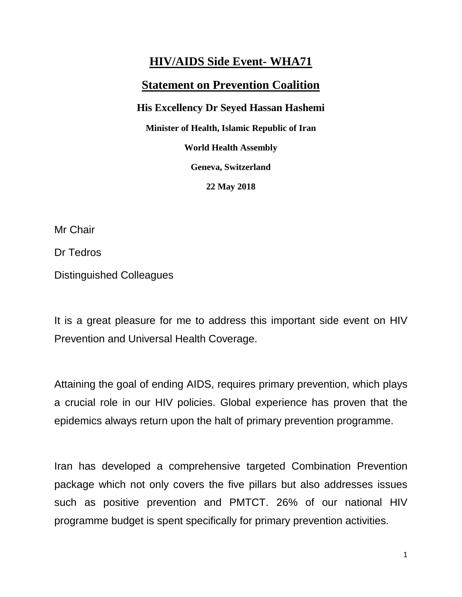## **HIV/AIDS Side Event- WHA71 Statement on Prevention Coalition His Excellency Dr Seyed Hassan Hashemi Minister of Health, Islamic Republic of Iran World Health Assembly Geneva, Switzerland 22 May 2018**

Mr Chair

Dr Tedros

Distinguished Colleagues

It is a great pleasure for me to address this important side event on HIV Prevention and Universal Health Coverage.

Attaining the goal of ending AIDS, requires primary prevention, which plays a crucial role in our HIV policies. Global experience has proven that the epidemics always return upon the halt of primary prevention programme.

Iran has developed a comprehensive targeted Combination Prevention package which not only covers the five pillars but also addresses issues such as positive prevention and PMTCT. 26% of our national HIV programme budget is spent specifically for primary prevention activities.